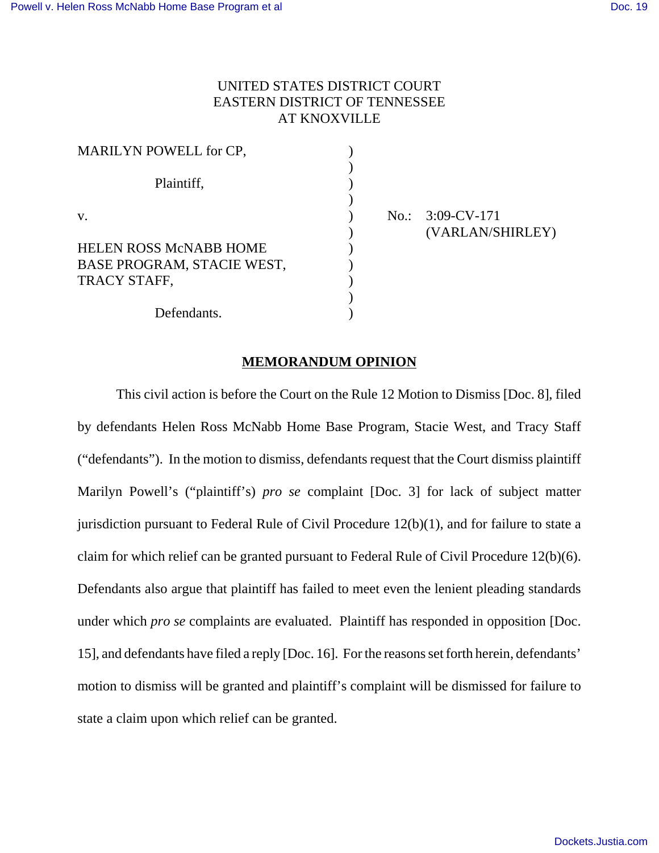# UNITED STATES DISTRICT COURT EASTERN DISTRICT OF TENNESSEE AT KNOXVILLE

| MARILYN POWELL for CP,                                                      |  |
|-----------------------------------------------------------------------------|--|
| Plaintiff,                                                                  |  |
| V.                                                                          |  |
| <b>HELEN ROSS McNABB HOME</b><br>BASE PROGRAM, STACIE WEST,<br>TRACY STAFF, |  |
| Defendants.                                                                 |  |

 $No.: 3:09-CV-171$ ) (VARLAN/SHIRLEY)

#### **MEMORANDUM OPINION**

This civil action is before the Court on the Rule 12 Motion to Dismiss [Doc. 8], filed by defendants Helen Ross McNabb Home Base Program, Stacie West, and Tracy Staff ("defendants"). In the motion to dismiss, defendants request that the Court dismiss plaintiff Marilyn Powell's ("plaintiff's) *pro se* complaint [Doc. 3] for lack of subject matter jurisdiction pursuant to Federal Rule of Civil Procedure 12(b)(1), and for failure to state a claim for which relief can be granted pursuant to Federal Rule of Civil Procedure 12(b)(6). Defendants also argue that plaintiff has failed to meet even the lenient pleading standards under which *pro se* complaints are evaluated. Plaintiff has responded in opposition [Doc. 15], and defendants have filed a reply [Doc. 16]. For the reasons set forth herein, defendants' motion to dismiss will be granted and plaintiff's complaint will be dismissed for failure to state a claim upon which relief can be granted.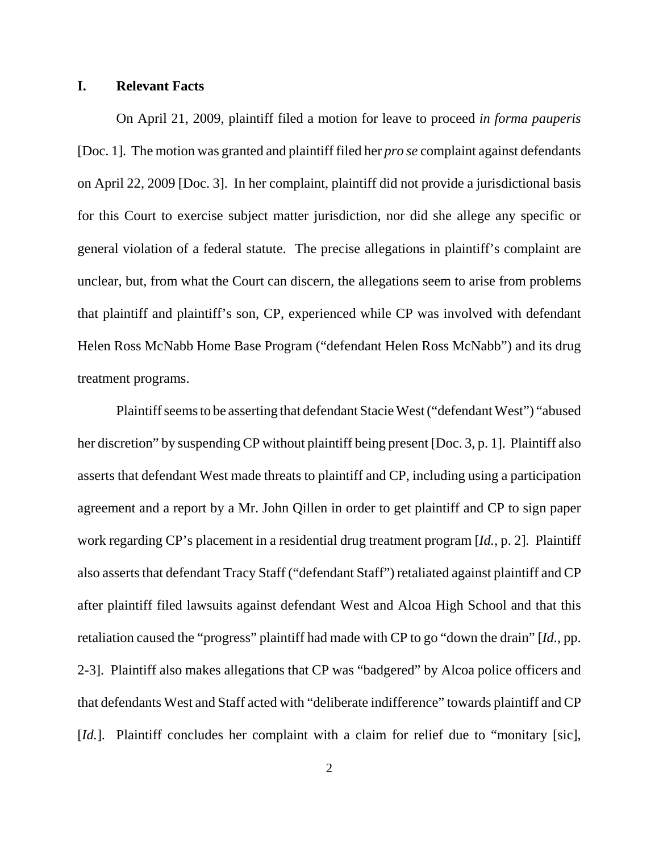## **I. Relevant Facts**

On April 21, 2009, plaintiff filed a motion for leave to proceed *in forma pauperis* [Doc. 1]. The motion was granted and plaintiff filed her *pro se* complaint against defendants on April 22, 2009 [Doc. 3]. In her complaint, plaintiff did not provide a jurisdictional basis for this Court to exercise subject matter jurisdiction, nor did she allege any specific or general violation of a federal statute. The precise allegations in plaintiff's complaint are unclear, but, from what the Court can discern, the allegations seem to arise from problems that plaintiff and plaintiff's son, CP, experienced while CP was involved with defendant Helen Ross McNabb Home Base Program ("defendant Helen Ross McNabb") and its drug treatment programs.

Plaintiff seems to be asserting that defendant Stacie West ("defendant West") "abused her discretion" by suspending CP without plaintiff being present [Doc. 3, p. 1]. Plaintiff also asserts that defendant West made threats to plaintiff and CP, including using a participation agreement and a report by a Mr. John Qillen in order to get plaintiff and CP to sign paper work regarding CP's placement in a residential drug treatment program [*Id.*, p. 2]. Plaintiff also asserts that defendant Tracy Staff ("defendant Staff") retaliated against plaintiff and CP after plaintiff filed lawsuits against defendant West and Alcoa High School and that this retaliation caused the "progress" plaintiff had made with CP to go "down the drain" [*Id.*, pp. 2-3]. Plaintiff also makes allegations that CP was "badgered" by Alcoa police officers and that defendants West and Staff acted with "deliberate indifference" towards plaintiff and CP [*Id.*]. Plaintiff concludes her complaint with a claim for relief due to "monitary [sic],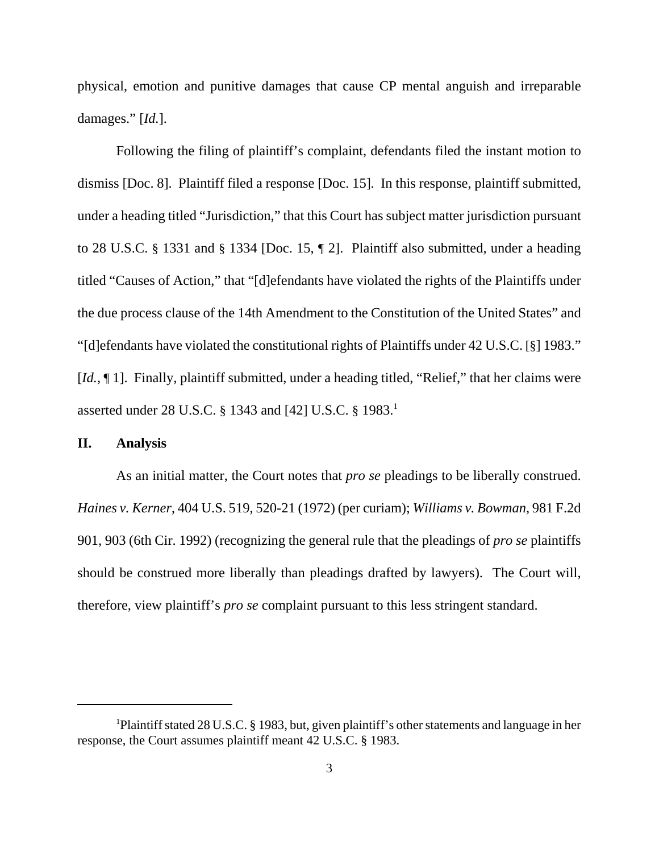physical, emotion and punitive damages that cause CP mental anguish and irreparable damages." [*Id.*].

Following the filing of plaintiff's complaint, defendants filed the instant motion to dismiss [Doc. 8]. Plaintiff filed a response [Doc. 15]. In this response, plaintiff submitted, under a heading titled "Jurisdiction," that this Court has subject matter jurisdiction pursuant to 28 U.S.C. § 1331 and § 1334 [Doc. 15, ¶ 2]. Plaintiff also submitted, under a heading titled "Causes of Action," that "[d]efendants have violated the rights of the Plaintiffs under the due process clause of the 14th Amendment to the Constitution of the United States" and "[d]efendants have violated the constitutional rights of Plaintiffs under 42 U.S.C. [§] 1983." [*Id.*,  $\llbracket$  1]. Finally, plaintiff submitted, under a heading titled, "Relief," that her claims were asserted under 28 U.S.C. § 1343 and [42] U.S.C. § 1983.<sup>1</sup>

## **II. Analysis**

As an initial matter, the Court notes that *pro se* pleadings to be liberally construed. *Haines v. Kerner*, 404 U.S. 519, 520-21 (1972) (per curiam); *Williams v. Bowman*, 981 F.2d 901, 903 (6th Cir. 1992) (recognizing the general rule that the pleadings of *pro se* plaintiffs should be construed more liberally than pleadings drafted by lawyers). The Court will, therefore, view plaintiff's *pro se* complaint pursuant to this less stringent standard.

<sup>&</sup>lt;sup>1</sup>Plaintiff stated 28 U.S.C. § 1983, but, given plaintiff's other statements and language in her response, the Court assumes plaintiff meant 42 U.S.C. § 1983.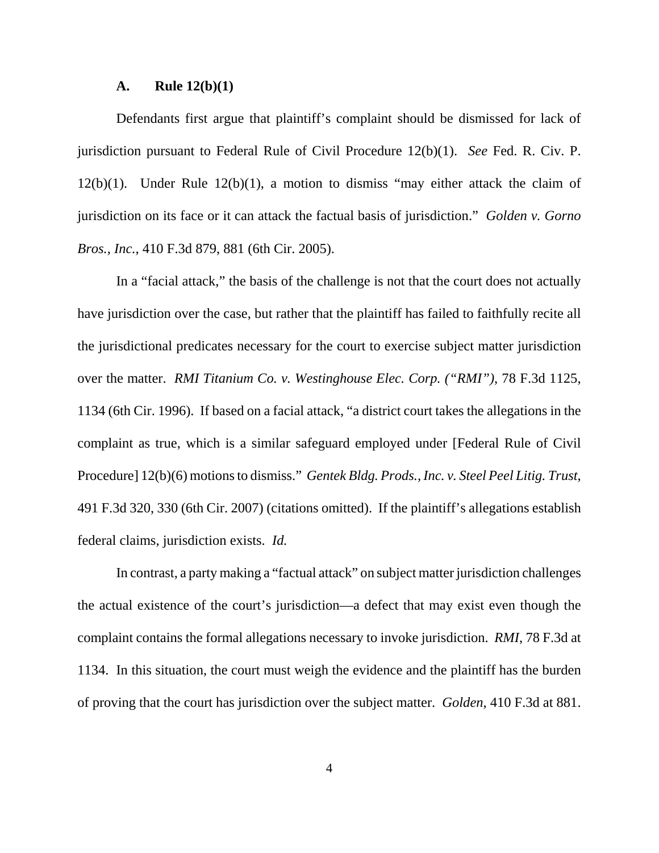#### **A. Rule 12(b)(1)**

Defendants first argue that plaintiff's complaint should be dismissed for lack of jurisdiction pursuant to Federal Rule of Civil Procedure 12(b)(1). *See* Fed. R. Civ. P.  $12(b)(1)$ . Under Rule  $12(b)(1)$ , a motion to dismiss "may either attack the claim of jurisdiction on its face or it can attack the factual basis of jurisdiction." *Golden v. Gorno Bros., Inc.*, 410 F.3d 879, 881 (6th Cir. 2005).

In a "facial attack," the basis of the challenge is not that the court does not actually have jurisdiction over the case, but rather that the plaintiff has failed to faithfully recite all the jurisdictional predicates necessary for the court to exercise subject matter jurisdiction over the matter. *RMI Titanium Co. v. Westinghouse Elec. Corp. ("RMI")*, 78 F.3d 1125, 1134 (6th Cir. 1996). If based on a facial attack, "a district court takes the allegations in the complaint as true, which is a similar safeguard employed under [Federal Rule of Civil Procedure] 12(b)(6) motions to dismiss." *Gentek Bldg. Prods., Inc. v. Steel Peel Litig. Trust*, 491 F.3d 320, 330 (6th Cir. 2007) (citations omitted). If the plaintiff's allegations establish federal claims, jurisdiction exists. *Id.*

In contrast, a party making a "factual attack" on subject matter jurisdiction challenges the actual existence of the court's jurisdiction—a defect that may exist even though the complaint contains the formal allegations necessary to invoke jurisdiction. *RMI*, 78 F.3d at 1134. In this situation, the court must weigh the evidence and the plaintiff has the burden of proving that the court has jurisdiction over the subject matter. *Golden*, 410 F.3d at 881.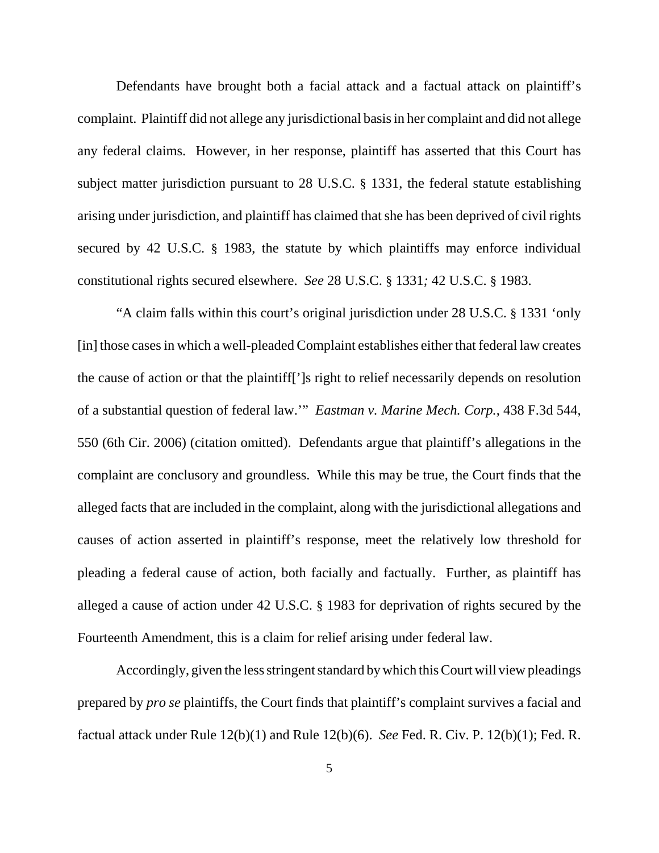Defendants have brought both a facial attack and a factual attack on plaintiff's complaint. Plaintiff did not allege any jurisdictional basis in her complaint and did not allege any federal claims. However, in her response, plaintiff has asserted that this Court has subject matter jurisdiction pursuant to 28 U.S.C. § 1331, the federal statute establishing arising under jurisdiction, and plaintiff has claimed that she has been deprived of civil rights secured by 42 U.S.C. § 1983, the statute by which plaintiffs may enforce individual constitutional rights secured elsewhere. *See* 28 U.S.C. § 1331*;* 42 U.S.C. § 1983.

"A claim falls within this court's original jurisdiction under 28 U.S.C. § 1331 'only [in] those cases in which a well-pleaded Complaint establishes either that federal law creates the cause of action or that the plaintiff[']s right to relief necessarily depends on resolution of a substantial question of federal law.'" *Eastman v. Marine Mech. Corp.*, 438 F.3d 544, 550 (6th Cir. 2006) (citation omitted). Defendants argue that plaintiff's allegations in the complaint are conclusory and groundless. While this may be true, the Court finds that the alleged facts that are included in the complaint, along with the jurisdictional allegations and causes of action asserted in plaintiff's response, meet the relatively low threshold for pleading a federal cause of action, both facially and factually. Further, as plaintiff has alleged a cause of action under 42 U.S.C. § 1983 for deprivation of rights secured by the Fourteenth Amendment, this is a claim for relief arising under federal law.

Accordingly, given the less stringent standard by which this Court will view pleadings prepared by *pro se* plaintiffs, the Court finds that plaintiff's complaint survives a facial and factual attack under Rule 12(b)(1) and Rule 12(b)(6). *See* Fed. R. Civ. P. 12(b)(1); Fed. R.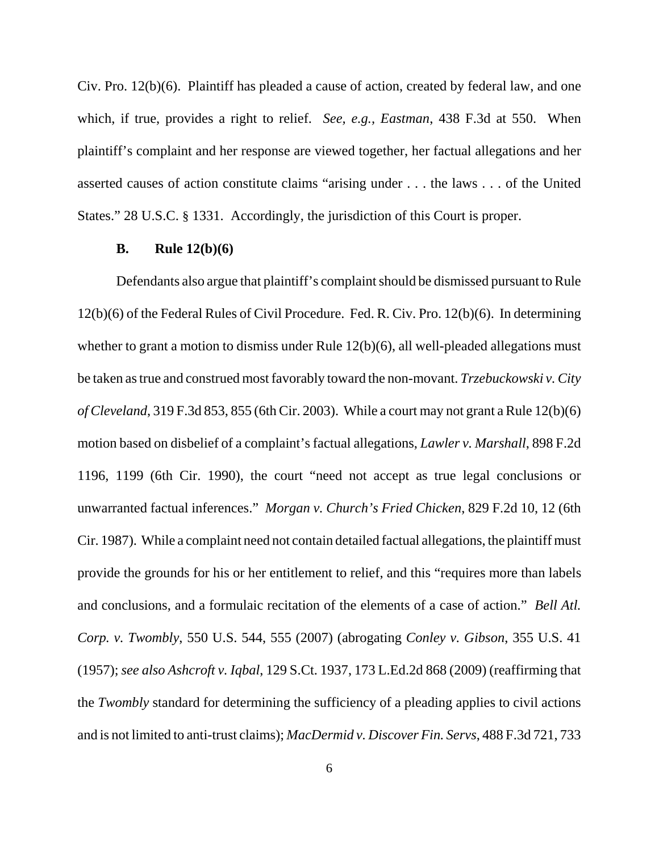Civ. Pro. 12(b)(6). Plaintiff has pleaded a cause of action, created by federal law, and one which, if true, provides a right to relief. *See, e.g., Eastman*, 438 F.3d at 550. When plaintiff's complaint and her response are viewed together, her factual allegations and her asserted causes of action constitute claims "arising under . . . the laws . . . of the United States." 28 U.S.C. § 1331. Accordingly, the jurisdiction of this Court is proper.

#### **B. Rule 12(b)(6)**

Defendants also argue that plaintiff's complaint should be dismissed pursuant to Rule 12(b)(6) of the Federal Rules of Civil Procedure. Fed. R. Civ. Pro. 12(b)(6). In determining whether to grant a motion to dismiss under Rule 12(b)(6), all well-pleaded allegations must be taken as true and construed most favorably toward the non-movant. *Trzebuckowski v. City of Cleveland*, 319 F.3d 853, 855 (6th Cir. 2003). While a court may not grant a Rule 12(b)(6) motion based on disbelief of a complaint's factual allegations, *Lawler v. Marshall*, 898 F.2d 1196, 1199 (6th Cir. 1990), the court "need not accept as true legal conclusions or unwarranted factual inferences." *Morgan v. Church's Fried Chicken*, 829 F.2d 10, 12 (6th Cir. 1987). While a complaint need not contain detailed factual allegations, the plaintiff must provide the grounds for his or her entitlement to relief, and this "requires more than labels and conclusions, and a formulaic recitation of the elements of a case of action." *Bell Atl. Corp. v. Twombly*, 550 U.S. 544, 555 (2007) (abrogating *Conley v. Gibson*, 355 U.S. 41 (1957); *see also Ashcroft v. Iqbal*, 129 S.Ct. 1937, 173 L.Ed.2d 868 (2009) (reaffirming that the *Twombly* standard for determining the sufficiency of a pleading applies to civil actions and is not limited to anti-trust claims); *MacDermid v. Discover Fin. Servs*, 488 F.3d 721, 733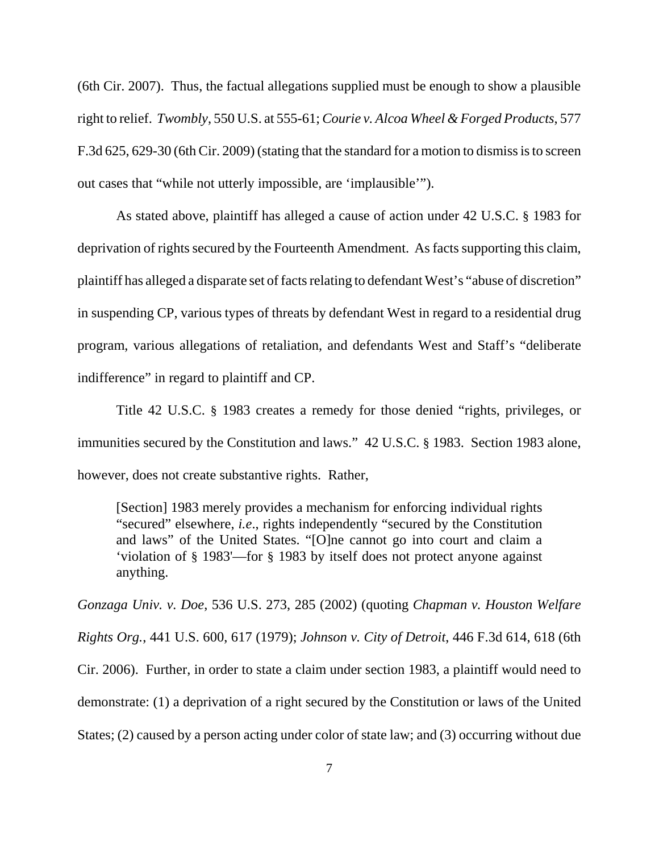(6th Cir. 2007). Thus, the factual allegations supplied must be enough to show a plausible right to relief. *Twombly*, 550 U.S. at 555-61; *Courie v. Alcoa Wheel & Forged Products*, 577 F.3d 625, 629-30 (6th Cir. 2009) (stating that the standard for a motion to dismiss is to screen out cases that "while not utterly impossible, are 'implausible'").

As stated above, plaintiff has alleged a cause of action under 42 U.S.C. § 1983 for deprivation of rights secured by the Fourteenth Amendment. As facts supporting this claim, plaintiff has alleged a disparate set of facts relating to defendant West's "abuse of discretion" in suspending CP, various types of threats by defendant West in regard to a residential drug program, various allegations of retaliation, and defendants West and Staff's "deliberate indifference" in regard to plaintiff and CP.

Title 42 U.S.C. § 1983 creates a remedy for those denied "rights, privileges, or immunities secured by the Constitution and laws." 42 U.S.C. § 1983. Section 1983 alone, however, does not create substantive rights. Rather,

[Section] 1983 merely provides a mechanism for enforcing individual rights "secured" elsewhere, *i.e*., rights independently "secured by the Constitution and laws" of the United States. "[O]ne cannot go into court and claim a 'violation of § 1983'—for § 1983 by itself does not protect anyone against anything.

*Gonzaga Univ. v. Doe*, 536 U.S. 273, 285 (2002) (quoting *Chapman v. Houston Welfare Rights Org.*, 441 U.S. 600, 617 (1979); *Johnson v. City of Detroit*, 446 F.3d 614, 618 (6th Cir. 2006). Further, in order to state a claim under section 1983, a plaintiff would need to demonstrate: (1) a deprivation of a right secured by the Constitution or laws of the United States; (2) caused by a person acting under color of state law; and (3) occurring without due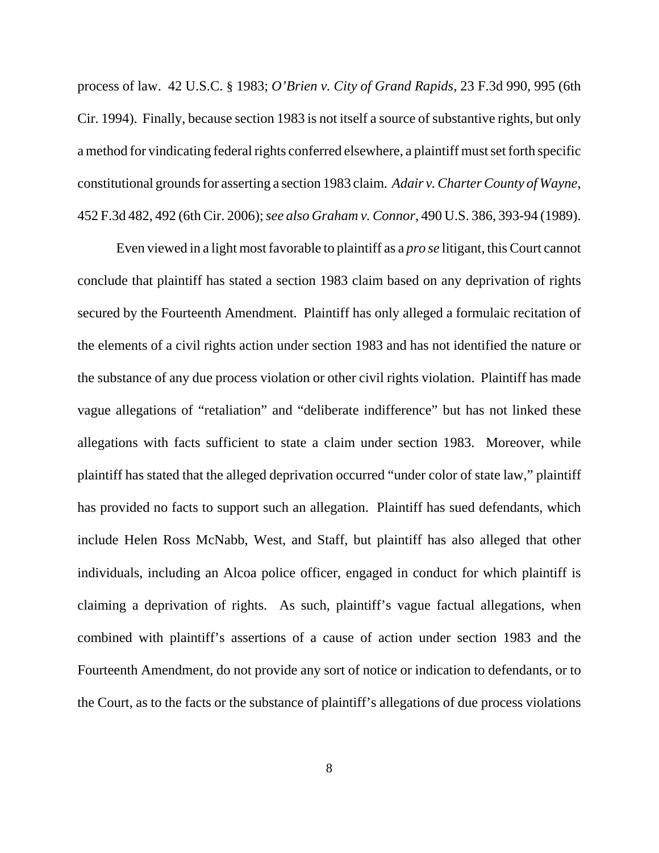process of law. 42 U.S.C. § 1983; *O'Brien v. City of Grand Rapids*, 23 F.3d 990, 995 (6th Cir. 1994). Finally, because section 1983 is not itself a source of substantive rights, but only a method for vindicating federal rights conferred elsewhere, a plaintiff must set forth specific constitutional grounds for asserting a section 1983 claim. *Adair v. Charter County of Wayne*, 452 F.3d 482, 492 (6th Cir. 2006); *see also Graham v. Connor*, 490 U.S. 386, 393-94 (1989).

Even viewed in a light most favorable to plaintiff as a *pro se* litigant, this Court cannot conclude that plaintiff has stated a section 1983 claim based on any deprivation of rights secured by the Fourteenth Amendment. Plaintiff has only alleged a formulaic recitation of the elements of a civil rights action under section 1983 and has not identified the nature or the substance of any due process violation or other civil rights violation. Plaintiff has made vague allegations of "retaliation" and "deliberate indifference" but has not linked these allegations with facts sufficient to state a claim under section 1983. Moreover, while plaintiff has stated that the alleged deprivation occurred "under color of state law," plaintiff has provided no facts to support such an allegation. Plaintiff has sued defendants, which include Helen Ross McNabb, West, and Staff, but plaintiff has also alleged that other individuals, including an Alcoa police officer, engaged in conduct for which plaintiff is claiming a deprivation of rights. As such, plaintiff's vague factual allegations, when combined with plaintiff's assertions of a cause of action under section 1983 and the Fourteenth Amendment, do not provide any sort of notice or indication to defendants, or to the Court, as to the facts or the substance of plaintiff's allegations of due process violations